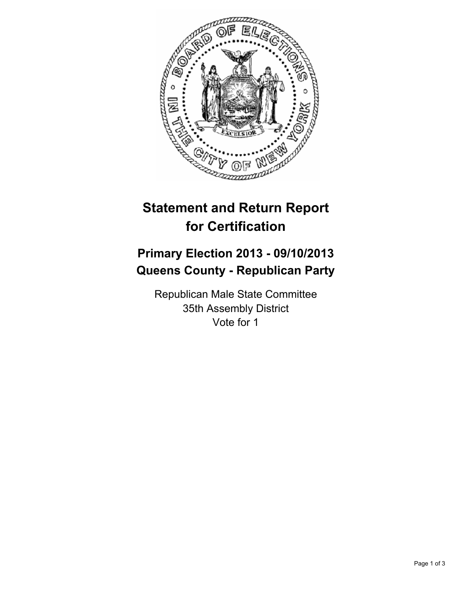

## **Statement and Return Report for Certification**

## **Primary Election 2013 - 09/10/2013 Queens County - Republican Party**

Republican Male State Committee 35th Assembly District Vote for 1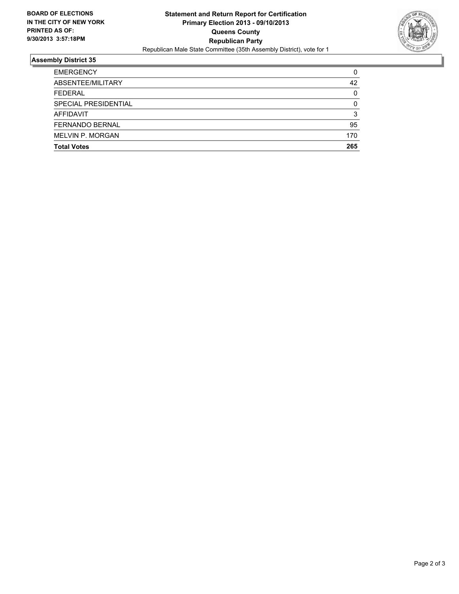

## **Assembly District 35**

| <b>Total Votes</b>      | 265      |
|-------------------------|----------|
| <b>MELVIN P. MORGAN</b> | 170      |
| <b>FERNANDO BERNAL</b>  | 95       |
| <b>AFFIDAVIT</b>        | 3        |
| SPECIAL PRESIDENTIAL    | $\Omega$ |
| <b>FEDERAL</b>          | $\Omega$ |
| ABSENTEE/MILITARY       | 42       |
| <b>EMERGENCY</b>        | 0        |